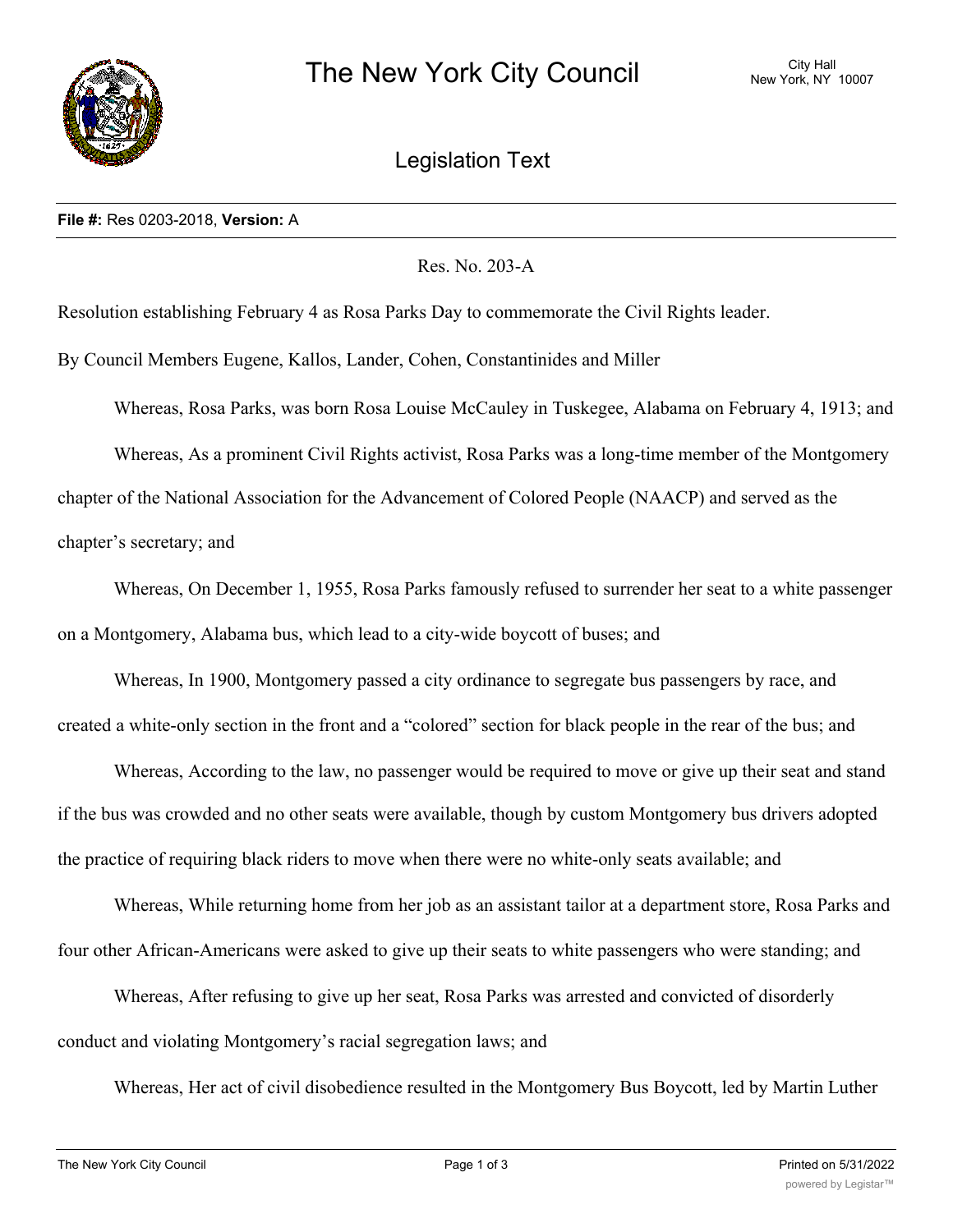

Legislation Text

Res. No. 203-A

Resolution establishing February 4 as Rosa Parks Day to commemorate the Civil Rights leader.

By Council Members Eugene, Kallos, Lander, Cohen, Constantinides and Miller

Whereas, Rosa Parks, was born Rosa Louise McCauley in Tuskegee, Alabama on February 4, 1913; and Whereas, As a prominent Civil Rights activist, Rosa Parks was a long-time member of the Montgomery chapter of the National Association for the Advancement of Colored People (NAACP) and served as the chapter's secretary; and

Whereas, On December 1, 1955, Rosa Parks famously refused to surrender her seat to a white passenger on a Montgomery, Alabama bus, which lead to a city-wide boycott of buses; and

Whereas, In 1900, Montgomery passed a city ordinance to segregate bus passengers by race, and created a white-only section in the front and a "colored" section for black people in the rear of the bus; and

Whereas, According to the law, no passenger would be required to move or give up their seat and stand if the bus was crowded and no other seats were available, though by custom Montgomery bus drivers adopted the practice of requiring black riders to move when there were no white-only seats available; and

Whereas, While returning home from her job as an assistant tailor at a department store, Rosa Parks and four other African-Americans were asked to give up their seats to white passengers who were standing; and

Whereas, After refusing to give up her seat, Rosa Parks was arrested and convicted of disorderly conduct and violating Montgomery's racial segregation laws; and

Whereas, Her act of civil disobedience resulted in the Montgomery Bus Boycott, led by Martin Luther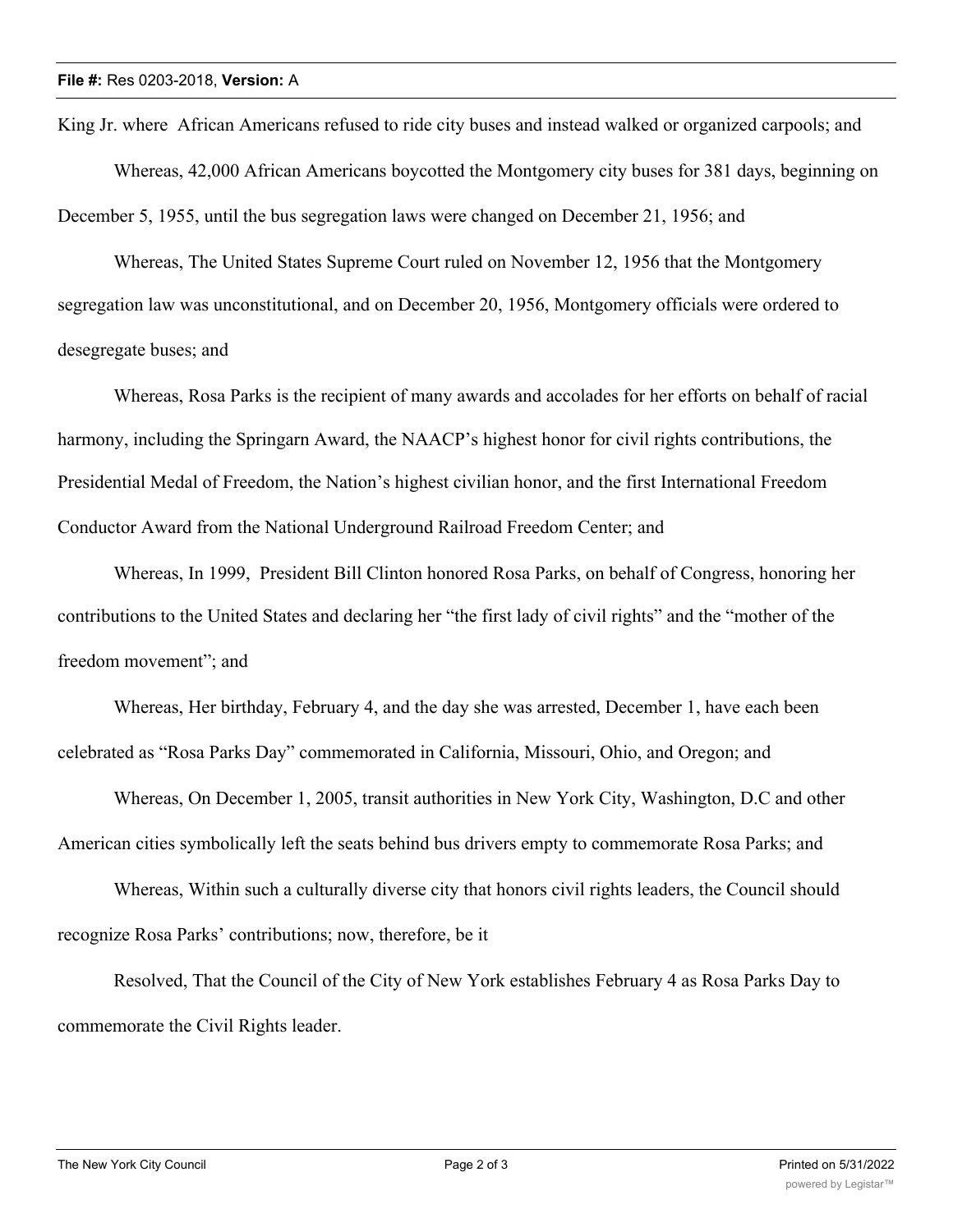King Jr. where African Americans refused to ride city buses and instead walked or organized carpools; and Whereas, 42,000 African Americans boycotted the Montgomery city buses for 381 days, beginning on December 5, 1955, until the bus segregation laws were changed on December 21, 1956; and

Whereas, The United States Supreme Court ruled on November 12, 1956 that the Montgomery segregation law was unconstitutional, and on December 20, 1956, Montgomery officials were ordered to desegregate buses; and

Whereas, Rosa Parks is the recipient of many awards and accolades for her efforts on behalf of racial harmony, including the Springarn Award, the NAACP's highest honor for civil rights contributions, the Presidential Medal of Freedom, the Nation's highest civilian honor, and the first International Freedom Conductor Award from the National Underground Railroad Freedom Center; and

Whereas, In 1999, President Bill Clinton honored Rosa Parks, on behalf of Congress, honoring her contributions to the United States and declaring her "the first lady of civil rights" and the "mother of the freedom movement"; and

Whereas, Her birthday, February 4, and the day she was arrested, December 1, have each been celebrated as "Rosa Parks Day" commemorated in California, Missouri, Ohio, and Oregon; and

Whereas, On December 1, 2005, transit authorities in New York City, Washington, D.C and other American cities symbolically left the seats behind bus drivers empty to commemorate Rosa Parks; and

Whereas, Within such a culturally diverse city that honors civil rights leaders, the Council should recognize Rosa Parks' contributions; now, therefore, be it

Resolved, That the Council of the City of New York establishes February 4 as Rosa Parks Day to commemorate the Civil Rights leader.